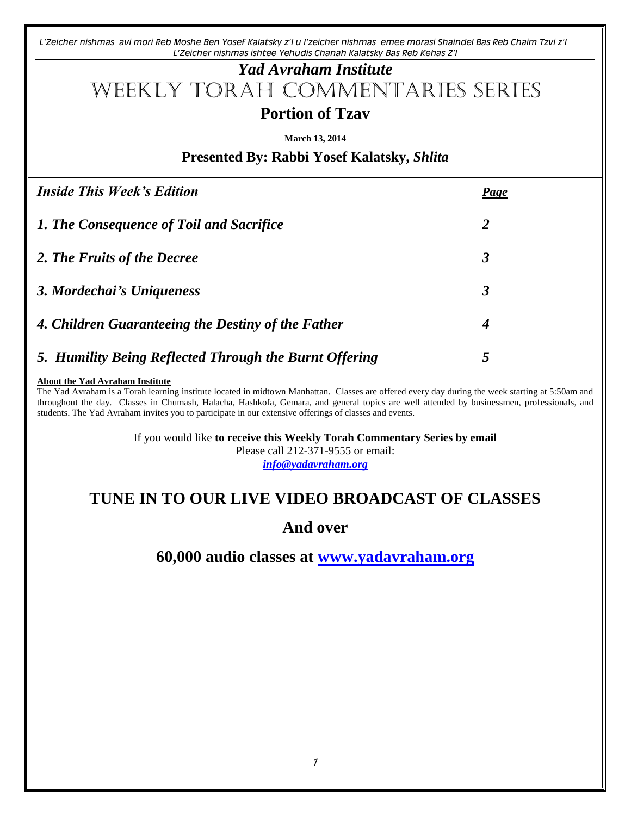*L'Zeicher nishmas avi mori Reb Moshe Ben Yosef Kalatsky z'l u l'zeicher nishmas emee morasi Shaindel Bas Reb Chaim Tzvi z'l L'Zeicher nishmas ishtee Yehudis Chanah Kalatsky Bas Reb Kehas Z'l*

# *Yad Avraham Institute* Weekly Torah Commentaries Series

**Portion of Tzav**

**March 13, 2014**

#### **Presented By: Rabbi Yosef Kalatsky,** *Shlita*

| <b>Inside This Week's Edition</b>                      | <u>Page</u> |
|--------------------------------------------------------|-------------|
| 1. The Consequence of Toil and Sacrifice               | 2           |
| 2. The Fruits of the Decree                            | 3           |
| 3. Mordechai's Uniqueness                              | 3           |
| 4. Children Guaranteeing the Destiny of the Father     | 4           |
| 5. Humility Being Reflected Through the Burnt Offering | 5           |

#### **About the Yad Avraham Institute**

The Yad Avraham is a Torah learning institute located in midtown Manhattan. Classes are offered every day during the week starting at 5:50am and throughout the day. Classes in Chumash, Halacha, Hashkofa, Gemara, and general topics are well attended by businessmen, professionals, and students. The Yad Avraham invites you to participate in our extensive offerings of classes and events.

If you would like **to receive this Weekly Torah Commentary Series by email**

Please call 212-371-9555 or email:

*[info@yadavraham.org](mailto:info@yadavraham.org)*

## **TUNE IN TO OUR LIVE VIDEO BROADCAST OF CLASSES**

**And over**

**60,000 audio classes at [www.yadavraham.org](http://www.yadavraham.org/)**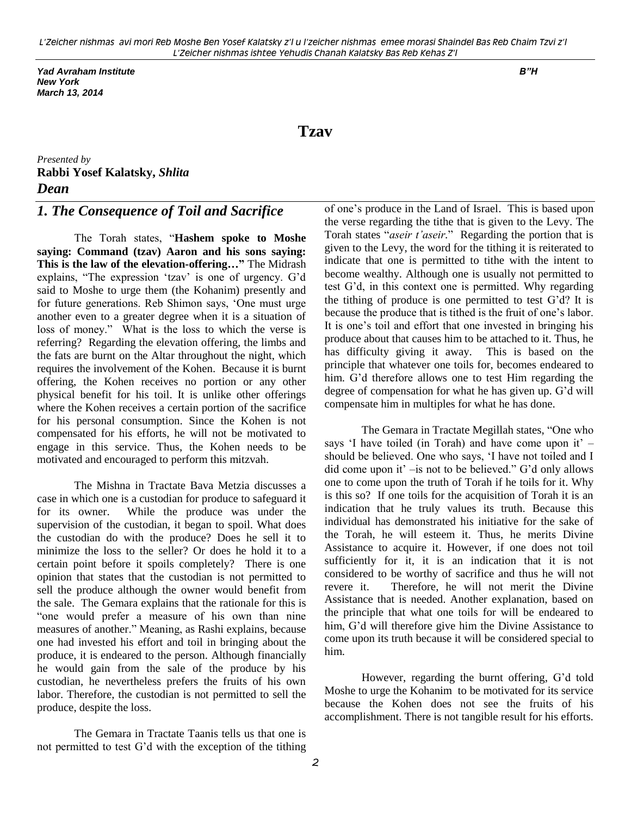*Yad Avraham Institute B"H New York March 13, 2014*

#### **Tzav**

*Presented by* **Rabbi Yosef Kalatsky,** *Shlita Dean* 

#### *1. The Consequence of Toil and Sacrifice*

The Torah states, "**Hashem spoke to Moshe saying: Command (tzav) Aaron and his sons saying: This is the law of the elevation-offering…"** The Midrash explains, "The expression 'tzav' is one of urgency. G'd said to Moshe to urge them (the Kohanim) presently and for future generations. Reb Shimon says, "One must urge another even to a greater degree when it is a situation of loss of money." What is the loss to which the verse is referring? Regarding the elevation offering, the limbs and the fats are burnt on the Altar throughout the night, which requires the involvement of the Kohen. Because it is burnt offering, the Kohen receives no portion or any other physical benefit for his toil. It is unlike other offerings where the Kohen receives a certain portion of the sacrifice for his personal consumption. Since the Kohen is not compensated for his efforts, he will not be motivated to engage in this service. Thus, the Kohen needs to be motivated and encouraged to perform this mitzvah.

The Mishna in Tractate Bava Metzia discusses a case in which one is a custodian for produce to safeguard it for its owner. While the produce was under the supervision of the custodian, it began to spoil. What does the custodian do with the produce? Does he sell it to minimize the loss to the seller? Or does he hold it to a certain point before it spoils completely? There is one opinion that states that the custodian is not permitted to sell the produce although the owner would benefit from the sale. The Gemara explains that the rationale for this is "one would prefer a measure of his own than nine measures of another." Meaning, as Rashi explains, because one had invested his effort and toil in bringing about the produce, it is endeared to the person. Although financially he would gain from the sale of the produce by his custodian, he nevertheless prefers the fruits of his own labor. Therefore, the custodian is not permitted to sell the produce, despite the loss.

The Gemara in Tractate Taanis tells us that one is not permitted to test G"d with the exception of the tithing of one"s produce in the Land of Israel. This is based upon the verse regarding the tithe that is given to the Levy. The Torah states "*aseir t'aseir.*" Regarding the portion that is given to the Levy, the word for the tithing it is reiterated to indicate that one is permitted to tithe with the intent to become wealthy. Although one is usually not permitted to test G"d, in this context one is permitted. Why regarding the tithing of produce is one permitted to test G"d? It is because the produce that is tithed is the fruit of one"s labor. It is one's toil and effort that one invested in bringing his produce about that causes him to be attached to it. Thus, he has difficulty giving it away. This is based on the principle that whatever one toils for, becomes endeared to him. G'd therefore allows one to test Him regarding the degree of compensation for what he has given up. G"d will compensate him in multiples for what he has done.

The Gemara in Tractate Megillah states, "One who says 'I have toiled (in Torah) and have come upon it'  $$ should be believed. One who says, "I have not toiled and I did come upon it'  $-$ is not to be believed." G'd only allows one to come upon the truth of Torah if he toils for it. Why is this so? If one toils for the acquisition of Torah it is an indication that he truly values its truth. Because this individual has demonstrated his initiative for the sake of the Torah, he will esteem it. Thus, he merits Divine Assistance to acquire it. However, if one does not toil sufficiently for it, it is an indication that it is not considered to be worthy of sacrifice and thus he will not revere it. Therefore, he will not merit the Divine Assistance that is needed. Another explanation, based on the principle that what one toils for will be endeared to him, G"d will therefore give him the Divine Assistance to come upon its truth because it will be considered special to him.

However, regarding the burnt offering, G"d told Moshe to urge the Kohanim to be motivated for its service because the Kohen does not see the fruits of his accomplishment. There is not tangible result for his efforts.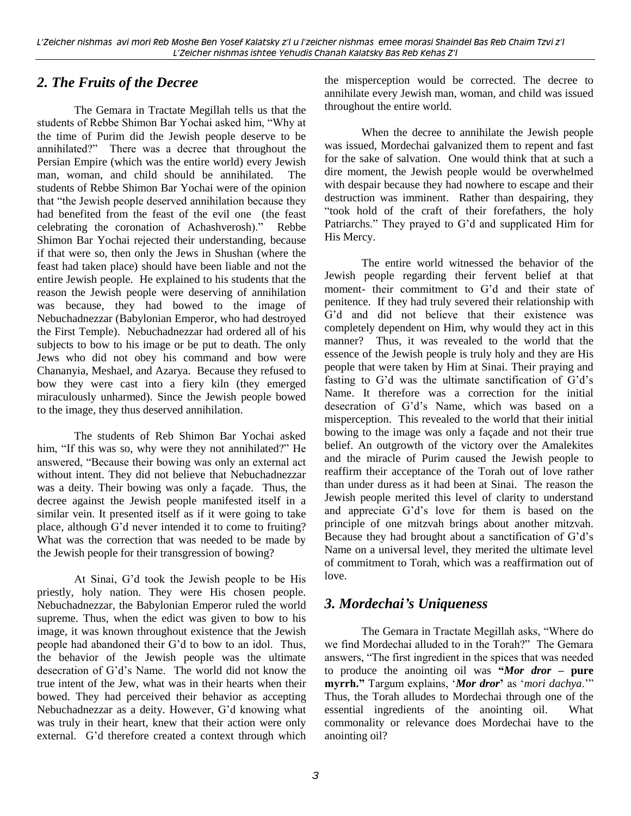### *2. The Fruits of the Decree*

The Gemara in Tractate Megillah tells us that the students of Rebbe Shimon Bar Yochai asked him, "Why at the time of Purim did the Jewish people deserve to be annihilated?" There was a decree that throughout the Persian Empire (which was the entire world) every Jewish man, woman, and child should be annihilated. The students of Rebbe Shimon Bar Yochai were of the opinion that "the Jewish people deserved annihilation because they had benefited from the feast of the evil one (the feast celebrating the coronation of Achashverosh)." Rebbe Shimon Bar Yochai rejected their understanding, because if that were so, then only the Jews in Shushan (where the feast had taken place) should have been liable and not the entire Jewish people. He explained to his students that the reason the Jewish people were deserving of annihilation was because, they had bowed to the image of Nebuchadnezzar (Babylonian Emperor, who had destroyed the First Temple). Nebuchadnezzar had ordered all of his subjects to bow to his image or be put to death. The only Jews who did not obey his command and bow were Chananyia, Meshael, and Azarya. Because they refused to bow they were cast into a fiery kiln (they emerged miraculously unharmed). Since the Jewish people bowed to the image, they thus deserved annihilation.

The students of Reb Shimon Bar Yochai asked him, "If this was so, why were they not annihilated?" He answered, "Because their bowing was only an external act without intent. They did not believe that Nebuchadnezzar was a deity. Their bowing was only a façade. Thus, the decree against the Jewish people manifested itself in a similar vein. It presented itself as if it were going to take place, although G"d never intended it to come to fruiting? What was the correction that was needed to be made by the Jewish people for their transgression of bowing?

At Sinai, G"d took the Jewish people to be His priestly, holy nation. They were His chosen people. Nebuchadnezzar, the Babylonian Emperor ruled the world supreme. Thus, when the edict was given to bow to his image, it was known throughout existence that the Jewish people had abandoned their G"d to bow to an idol. Thus, the behavior of the Jewish people was the ultimate desecration of G"d"s Name. The world did not know the true intent of the Jew, what was in their hearts when their bowed. They had perceived their behavior as accepting Nebuchadnezzar as a deity. However, G"d knowing what was truly in their heart, knew that their action were only external. G"d therefore created a context through which

the misperception would be corrected. The decree to annihilate every Jewish man, woman, and child was issued throughout the entire world.

When the decree to annihilate the Jewish people was issued, Mordechai galvanized them to repent and fast for the sake of salvation. One would think that at such a dire moment, the Jewish people would be overwhelmed with despair because they had nowhere to escape and their destruction was imminent. Rather than despairing, they "took hold of the craft of their forefathers, the holy Patriarchs." They prayed to G"d and supplicated Him for His Mercy.

The entire world witnessed the behavior of the Jewish people regarding their fervent belief at that moment- their commitment to G"d and their state of penitence. If they had truly severed their relationship with G"d and did not believe that their existence was completely dependent on Him, why would they act in this manner? Thus, it was revealed to the world that the essence of the Jewish people is truly holy and they are His people that were taken by Him at Sinai. Their praying and fasting to G"d was the ultimate sanctification of G"d"s Name. It therefore was a correction for the initial desecration of G"d"s Name, which was based on a misperception. This revealed to the world that their initial bowing to the image was only a façade and not their true belief. An outgrowth of the victory over the Amalekites and the miracle of Purim caused the Jewish people to reaffirm their acceptance of the Torah out of love rather than under duress as it had been at Sinai. The reason the Jewish people merited this level of clarity to understand and appreciate G"d"s love for them is based on the principle of one mitzvah brings about another mitzvah. Because they had brought about a sanctification of G'd's Name on a universal level, they merited the ultimate level of commitment to Torah, which was a reaffirmation out of love.

## *3. Mordechai's Uniqueness*

The Gemara in Tractate Megillah asks, "Where do we find Mordechai alluded to in the Torah?" The Gemara answers, "The first ingredient in the spices that was needed to produce the anointing oil was **"***Mor dror* **– pure myrrh."** Targum explains, "*Mor dror***'** as "*mori dachya*."" Thus, the Torah alludes to Mordechai through one of the essential ingredients of the anointing oil. What commonality or relevance does Mordechai have to the anointing oil?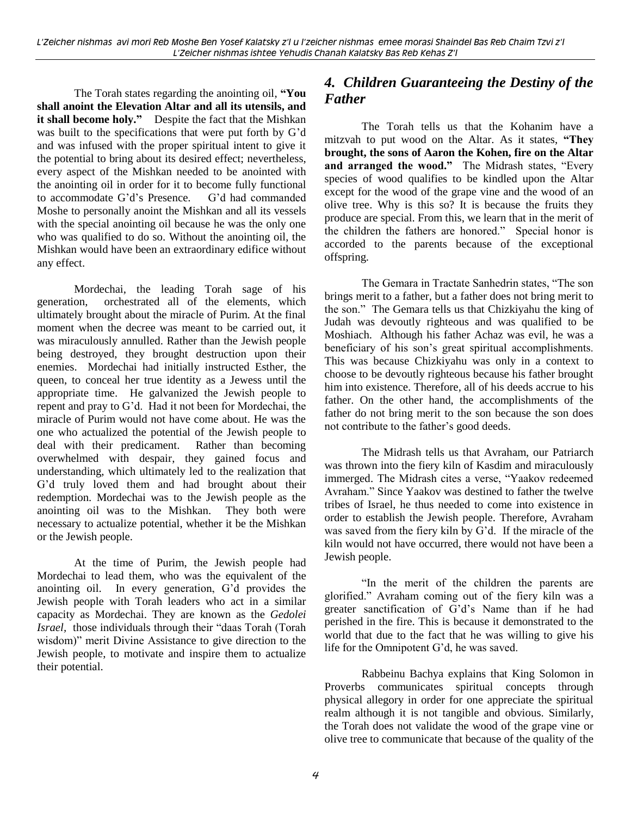The Torah states regarding the anointing oil, **"You shall anoint the Elevation Altar and all its utensils, and it shall become holy."** Despite the fact that the Mishkan was built to the specifications that were put forth by G"d and was infused with the proper spiritual intent to give it the potential to bring about its desired effect; nevertheless, every aspect of the Mishkan needed to be anointed with the anointing oil in order for it to become fully functional to accommodate G"d"s Presence. G"d had commanded Moshe to personally anoint the Mishkan and all its vessels with the special anointing oil because he was the only one who was qualified to do so. Without the anointing oil, the Mishkan would have been an extraordinary edifice without any effect.

Mordechai, the leading Torah sage of his generation, orchestrated all of the elements, which ultimately brought about the miracle of Purim. At the final moment when the decree was meant to be carried out, it was miraculously annulled. Rather than the Jewish people being destroyed, they brought destruction upon their enemies. Mordechai had initially instructed Esther, the queen, to conceal her true identity as a Jewess until the appropriate time. He galvanized the Jewish people to repent and pray to G"d. Had it not been for Mordechai, the miracle of Purim would not have come about. He was the one who actualized the potential of the Jewish people to deal with their predicament. Rather than becoming overwhelmed with despair, they gained focus and understanding, which ultimately led to the realization that G"d truly loved them and had brought about their redemption. Mordechai was to the Jewish people as the anointing oil was to the Mishkan. They both were necessary to actualize potential, whether it be the Mishkan or the Jewish people.

At the time of Purim, the Jewish people had Mordechai to lead them, who was the equivalent of the anointing oil. In every generation, G"d provides the Jewish people with Torah leaders who act in a similar capacity as Mordechai. They are known as the *Gedolei Israel,* those individuals through their "daas Torah (Torah wisdom)" merit Divine Assistance to give direction to the Jewish people, to motivate and inspire them to actualize their potential.

#### *4. Children Guaranteeing the Destiny of the Father*

The Torah tells us that the Kohanim have a mitzvah to put wood on the Altar. As it states, **"They brought, the sons of Aaron the Kohen, fire on the Altar and arranged the wood."** The Midrash states, "Every species of wood qualifies to be kindled upon the Altar except for the wood of the grape vine and the wood of an olive tree. Why is this so? It is because the fruits they produce are special. From this, we learn that in the merit of the children the fathers are honored." Special honor is accorded to the parents because of the exceptional offspring.

The Gemara in Tractate Sanhedrin states, "The son brings merit to a father, but a father does not bring merit to the son." The Gemara tells us that Chizkiyahu the king of Judah was devoutly righteous and was qualified to be Moshiach. Although his father Achaz was evil, he was a beneficiary of his son"s great spiritual accomplishments. This was because Chizkiyahu was only in a context to choose to be devoutly righteous because his father brought him into existence. Therefore, all of his deeds accrue to his father. On the other hand, the accomplishments of the father do not bring merit to the son because the son does not contribute to the father"s good deeds.

The Midrash tells us that Avraham, our Patriarch was thrown into the fiery kiln of Kasdim and miraculously immerged. The Midrash cites a verse, "Yaakov redeemed Avraham." Since Yaakov was destined to father the twelve tribes of Israel, he thus needed to come into existence in order to establish the Jewish people. Therefore, Avraham was saved from the fiery kiln by G'd. If the miracle of the kiln would not have occurred, there would not have been a Jewish people.

"In the merit of the children the parents are glorified." Avraham coming out of the fiery kiln was a greater sanctification of G"d"s Name than if he had perished in the fire. This is because it demonstrated to the world that due to the fact that he was willing to give his life for the Omnipotent G"d, he was saved.

Rabbeinu Bachya explains that King Solomon in Proverbs communicates spiritual concepts through physical allegory in order for one appreciate the spiritual realm although it is not tangible and obvious. Similarly, the Torah does not validate the wood of the grape vine or olive tree to communicate that because of the quality of the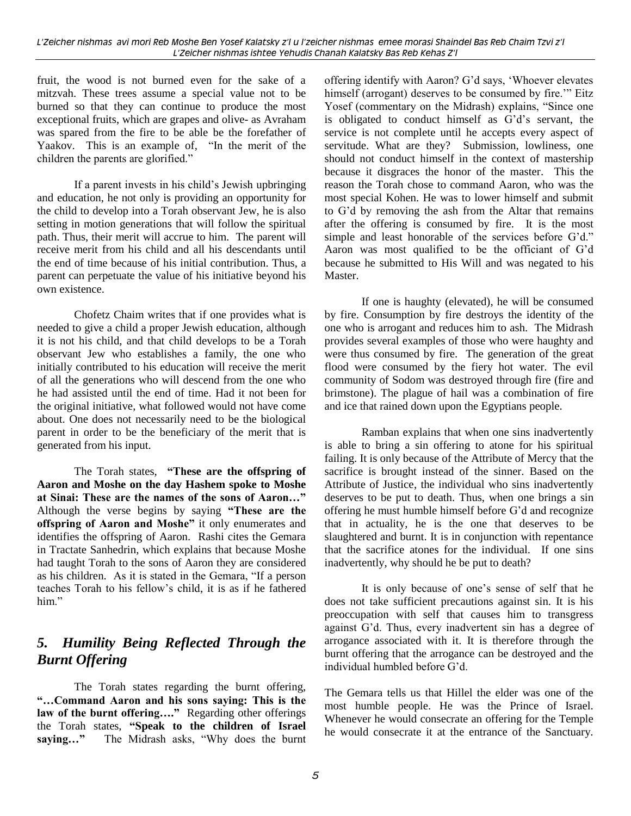fruit, the wood is not burned even for the sake of a mitzvah. These trees assume a special value not to be burned so that they can continue to produce the most exceptional fruits, which are grapes and olive- as Avraham was spared from the fire to be able be the forefather of Yaakov. This is an example of, "In the merit of the children the parents are glorified."

If a parent invests in his child"s Jewish upbringing and education, he not only is providing an opportunity for the child to develop into a Torah observant Jew, he is also setting in motion generations that will follow the spiritual path. Thus, their merit will accrue to him. The parent will receive merit from his child and all his descendants until the end of time because of his initial contribution. Thus, a parent can perpetuate the value of his initiative beyond his own existence.

Chofetz Chaim writes that if one provides what is needed to give a child a proper Jewish education, although it is not his child, and that child develops to be a Torah observant Jew who establishes a family, the one who initially contributed to his education will receive the merit of all the generations who will descend from the one who he had assisted until the end of time. Had it not been for the original initiative, what followed would not have come about. One does not necessarily need to be the biological parent in order to be the beneficiary of the merit that is generated from his input.

The Torah states, **"These are the offspring of Aaron and Moshe on the day Hashem spoke to Moshe at Sinai: These are the names of the sons of Aaron…"** Although the verse begins by saying **"These are the offspring of Aaron and Moshe"** it only enumerates and identifies the offspring of Aaron. Rashi cites the Gemara in Tractate Sanhedrin, which explains that because Moshe had taught Torah to the sons of Aaron they are considered as his children. As it is stated in the Gemara, "If a person teaches Torah to his fellow"s child, it is as if he fathered him."

## *5. Humility Being Reflected Through the Burnt Offering*

The Torah states regarding the burnt offering, **"…Command Aaron and his sons saying: This is the law of the burnt offering…."** Regarding other offerings the Torah states, **"Speak to the children of Israel saying…"** The Midrash asks, "Why does the burnt offering identify with Aaron? G"d says, "Whoever elevates himself (arrogant) deserves to be consumed by fire." Eitz Yosef (commentary on the Midrash) explains, "Since one is obligated to conduct himself as G"d"s servant, the service is not complete until he accepts every aspect of servitude. What are they? Submission, lowliness, one should not conduct himself in the context of mastership because it disgraces the honor of the master. This the reason the Torah chose to command Aaron, who was the most special Kohen. He was to lower himself and submit to G"d by removing the ash from the Altar that remains after the offering is consumed by fire. It is the most simple and least honorable of the services before G'd." Aaron was most qualified to be the officiant of G"d because he submitted to His Will and was negated to his Master.

If one is haughty (elevated), he will be consumed by fire. Consumption by fire destroys the identity of the one who is arrogant and reduces him to ash. The Midrash provides several examples of those who were haughty and were thus consumed by fire. The generation of the great flood were consumed by the fiery hot water. The evil community of Sodom was destroyed through fire (fire and brimstone). The plague of hail was a combination of fire and ice that rained down upon the Egyptians people.

Ramban explains that when one sins inadvertently is able to bring a sin offering to atone for his spiritual failing. It is only because of the Attribute of Mercy that the sacrifice is brought instead of the sinner. Based on the Attribute of Justice, the individual who sins inadvertently deserves to be put to death. Thus, when one brings a sin offering he must humble himself before G"d and recognize that in actuality, he is the one that deserves to be slaughtered and burnt. It is in conjunction with repentance that the sacrifice atones for the individual. If one sins inadvertently, why should he be put to death?

It is only because of one"s sense of self that he does not take sufficient precautions against sin. It is his preoccupation with self that causes him to transgress against G"d. Thus, every inadvertent sin has a degree of arrogance associated with it. It is therefore through the burnt offering that the arrogance can be destroyed and the individual humbled before G"d.

The Gemara tells us that Hillel the elder was one of the most humble people. He was the Prince of Israel. Whenever he would consecrate an offering for the Temple he would consecrate it at the entrance of the Sanctuary.